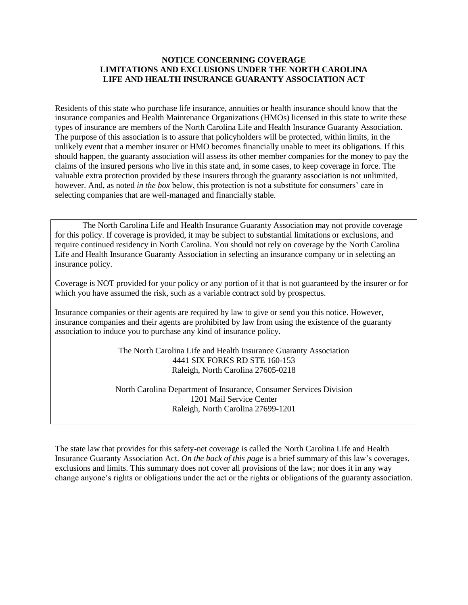## **NOTICE CONCERNING COVERAGE LIMITATIONS AND EXCLUSIONS UNDER THE NORTH CAROLINA LIFE AND HEALTH INSURANCE GUARANTY ASSOCIATION ACT**

Residents of this state who purchase life insurance, annuities or health insurance should know that the insurance companies and Health Maintenance Organizations (HMOs) licensed in this state to write these types of insurance are members of the North Carolina Life and Health Insurance Guaranty Association. The purpose of this association is to assure that policyholders will be protected, within limits, in the unlikely event that a member insurer or HMO becomes financially unable to meet its obligations. If this should happen, the guaranty association will assess its other member companies for the money to pay the claims of the insured persons who live in this state and, in some cases, to keep coverage in force. The valuable extra protection provided by these insurers through the guaranty association is not unlimited, however. And, as noted *in the box* below, this protection is not a substitute for consumers' care in selecting companies that are well-managed and financially stable.

The North Carolina Life and Health Insurance Guaranty Association may not provide coverage for this policy. If coverage is provided, it may be subject to substantial limitations or exclusions, and require continued residency in North Carolina. You should not rely on coverage by the North Carolina Life and Health Insurance Guaranty Association in selecting an insurance company or in selecting an insurance policy.

Coverage is NOT provided for your policy or any portion of it that is not guaranteed by the insurer or for which you have assumed the risk, such as a variable contract sold by prospectus.

Insurance companies or their agents are required by law to give or send you this notice. However, insurance companies and their agents are prohibited by law from using the existence of the guaranty association to induce you to purchase any kind of insurance policy.

> The North Carolina Life and Health Insurance Guaranty Association 4441 SIX FORKS RD STE 160-153 Raleigh, North Carolina 27605-0218

North Carolina Department of Insurance, Consumer Services Division 1201 Mail Service Center Raleigh, North Carolina 27699-1201

The state law that provides for this safety-net coverage is called the North Carolina Life and Health Insurance Guaranty Association Act. *On the back of this page* is a brief summary of this law's coverages, exclusions and limits. This summary does not cover all provisions of the law; nor does it in any way change anyone's rights or obligations under the act or the rights or obligations of the guaranty association.